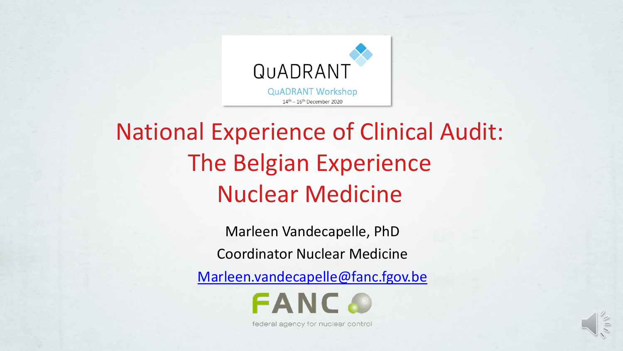

#### National Experience of Clinical Audit: The Belgian Experience Nuclear Medicine

Marleen Vandecapelle, PhD Coordinator Nuclear Medicine

[Marleen.vandecapelle@fanc.fgov.be](mailto:Marleen.vandecapelle@fanc.fgov.be)



federal agency for nuclear control

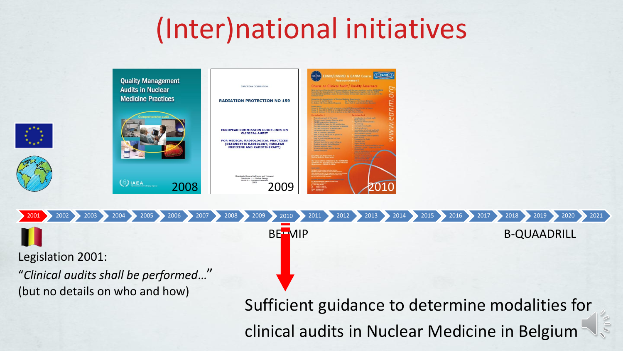## (Inter)national initiatives

2001 2002 2003 2004 2005 2006 2007 2008 2009 2010 2010 2011 2012 2013 2014 2015 2016 2017 2018 2019 2020 2021



Legislation 2001:

"*Clinical audits shall be performed*…" (but no details on who and how)

Sufficient guidance to determine modalities for clinical audits in Nuclear Medicine in Belgium

BELMIP B-QUAADRILL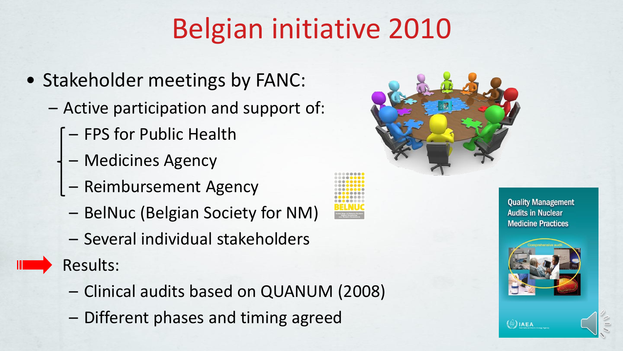## Belgian initiative 2010

- Stakeholder meetings by FANC:
	- Active participation and support of:
		- FPS for Public Health
		- Medicines Agency
		- Reimbursement Agency
		- BelNuc (Belgian Society for NM)
		- Several individual stakeholders

Results:

- Clinical audits based on QUANUM (2008)
- Different phases and timing agreed



**Quality Management Audits in Nuclear Medicine Practices** 



 $\langle \circ \rangle$  IAEA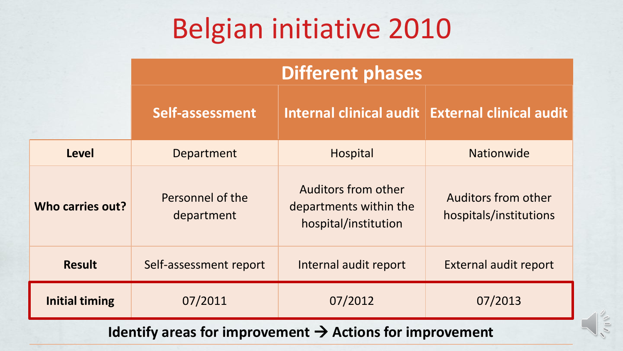## Belgian initiative 2010

|                       | <b>Different phases</b>        |                                                                              |                                               |  |  |  |
|-----------------------|--------------------------------|------------------------------------------------------------------------------|-----------------------------------------------|--|--|--|
|                       | Self-assessment                | <b>External clinical audit</b>                                               |                                               |  |  |  |
| Level                 | Department                     | Hospital                                                                     | <b>Nationwide</b>                             |  |  |  |
| Who carries out?      | Personnel of the<br>department | <b>Auditors from other</b><br>departments within the<br>hospital/institution | Auditors from other<br>hospitals/institutions |  |  |  |
| <b>Result</b>         | Self-assessment report         | Internal audit report                                                        | <b>External audit report</b>                  |  |  |  |
| <b>Initial timing</b> | 07/2011                        | 07/2012                                                                      | 07/2013                                       |  |  |  |

**Identify areas for improvement** → **Actions for improvement**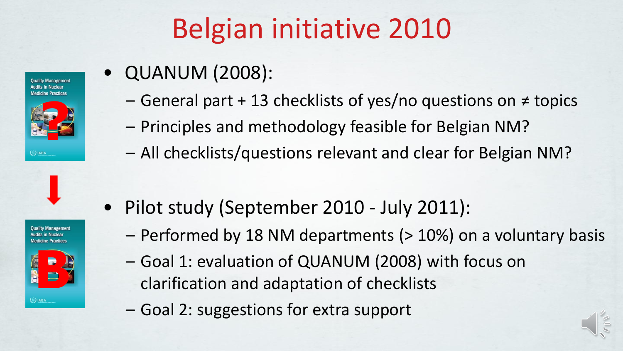# Belgian initiative 2010

**Ouality Management Audits in Nuclea Medicine Practices** 



**Ouality Managemen Medicine Practices** 



 $\langle \langle \rangle \rangle$  IAEA

• QUANUM (2008):

- General part + 13 checklists of yes/no questions on ≠ topics
- Principles and methodology feasible for Belgian NM?
- All checklists/questions relevant and clear for Belgian NM?
- Pilot study (September 2010 July 2011):
	- Performed by 18 NM departments (> 10%) on a voluntary basis
	- Goal 1: evaluation of QUANUM (2008) with focus on clarification and adaptation of checklists
	- Goal 2: suggestions for extra support

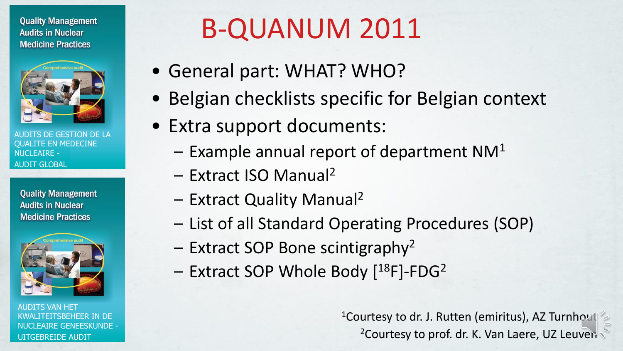**Quality Management Audits in Nuclear Medicine Practices** 



TS DE GESTION DE LA QUALITE EN MEDECINE NUCLEAIRE - AUDIT GLOBAL

**Quality Management Audits in Nuclear Medicine Practices** 



AUDITS VAN HET KWALITEITSBEHEER IN DE NUCLEAIRE GENEESKUNDE - UITGEBREIDE AUDIT

# B-QUANUM 2011

- General part: WHAT? WHO?
- Belgian checklists specific for Belgian context
- Extra support documents:
	- $-$  Example annual report of department NM<sup>1</sup>
	- Extract ISO Manual<sup>2</sup>
	- Extract Quality Manual<sup>2</sup>
	- List of all Standard Operating Procedures (SOP)
	- Extract SOP Bone scintigraphy<sup>2</sup>
	- Extract SOP Whole Body [<sup>18</sup>F]-FDG<sup>2</sup>

<sup>1</sup>Courtesy to dr. J. Rutten (emiritus), AZ Turnhout <sup>2</sup>Courtesy to prof. dr. K. Van Laere, UZ Leuven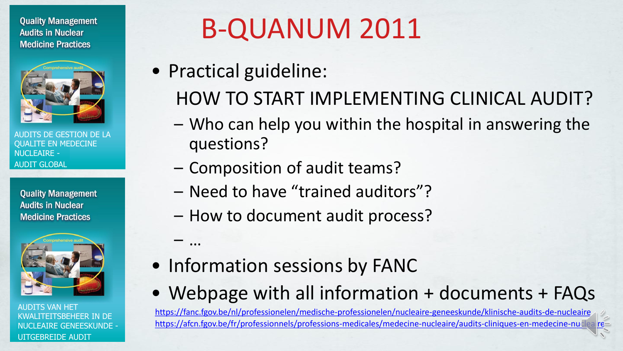**Quality Management Audits in Nuclear Medicine Practices** 



DE GESTION DE LA QUALITE EN MEDECINE NUCLEAIRE - AUDIT GLOBAL

**Quality Management Audits in Nuclear Medicine Practices** 



AUDITS VAN HET KWALITEITSBEHEER IN DE NUCLEAIRE GENEESKUNDE - UITGEBREIDE AUDIT

## B-QUANUM 2011

• Practical guideline:

– …

- HOW TO START IMPLEMENTING CLINICAL AUDIT?
- Who can help you within the hospital in answering the questions?
- Composition of audit teams?
- Need to have "trained auditors"?
- How to document audit process?
- Information sessions by FANC
- Webpage with all information + documents + FAQs

<https://fanc.fgov.be/nl/professionelen/medische-professionelen/nucleaire-geneeskunde/klinische-audits-de-nucleaire> <https://afcn.fgov.be/fr/professionnels/professions-medicales/medecine-nucleaire/audits-cliniques-en-medecine-nucleaire>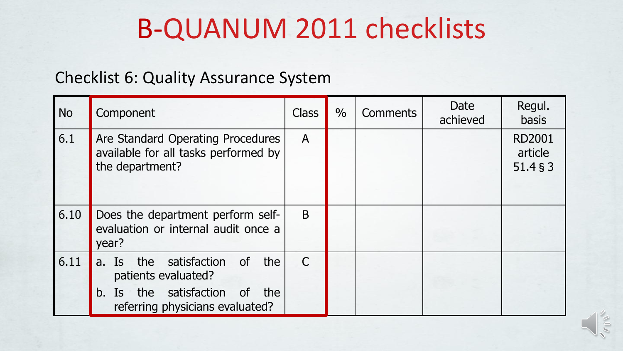### B-QUANUM 2011 checklists

#### Checklist 6: Quality Assurance System

| <b>No</b> | Component                                                                                                                                 |              | $\frac{0}{0}$ | <b>Comments</b> | Date<br>achieved | Regul.<br><b>basis</b>               |
|-----------|-------------------------------------------------------------------------------------------------------------------------------------------|--------------|---------------|-----------------|------------------|--------------------------------------|
| 6.1       | Are Standard Operating Procedures<br>available for all tasks performed by<br>the department?                                              | $\mathsf{A}$ |               |                 |                  | <b>RD2001</b><br>article<br>51.4 § 3 |
| 6.10      | Does the department perform self-<br>evaluation or internal audit once a<br>year?                                                         | B            |               |                 |                  |                                      |
| 6.11      | a. Is the satisfaction of<br>the<br>patients evaluated?<br>the satisfaction of<br>$b_{1}$<br>Is<br>the<br>referring physicians evaluated? | $\mathsf{C}$ |               |                 |                  |                                      |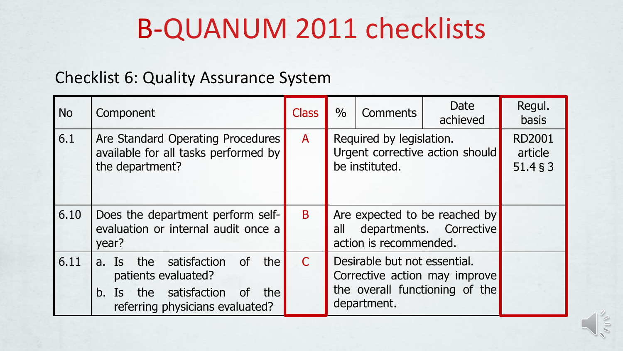### B-QUANUM 2011 checklists

#### Checklist 6: Quality Assurance System

| <b>No</b> | Component                                                                                                                      |              | $\frac{0}{0}$                                                                                                  | <b>Comments</b> | Date<br>achieved | Regul.<br><b>basis</b>               |
|-----------|--------------------------------------------------------------------------------------------------------------------------------|--------------|----------------------------------------------------------------------------------------------------------------|-----------------|------------------|--------------------------------------|
| 6.1       | Are Standard Operating Procedures<br>available for all tasks performed by<br>the department?                                   | $\mathsf{A}$ | Required by legislation.<br>Urgent corrective action should<br>be instituted.                                  |                 |                  | <b>RD2001</b><br>article<br>51.4 § 3 |
| 6.10      | Does the department perform self-<br>evaluation or internal audit once a<br>year?                                              | B            | Are expected to be reached by<br>departments. Corrective<br>all<br>action is recommended.                      |                 |                  |                                      |
| 6.11      | the<br>a. Is the satisfaction of<br>patients evaluated?<br>b. Is the satisfaction of<br>the<br>referring physicians evaluated? |              | Desirable but not essential.<br>Corrective action may improve<br>the overall functioning of the<br>department. |                 |                  |                                      |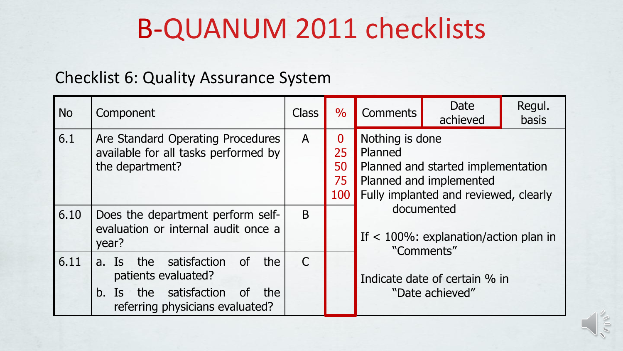### B-QUANUM 2011 checklists

#### Checklist 6: Quality Assurance System

| <b>No</b>                                                                                 | Component                                                                                                                                   |                                   | $\frac{0}{0}$                                                                                                                        | <b>Comments</b>                                                     | Date<br>achieved | Regul.<br>basis |  |
|-------------------------------------------------------------------------------------------|---------------------------------------------------------------------------------------------------------------------------------------------|-----------------------------------|--------------------------------------------------------------------------------------------------------------------------------------|---------------------------------------------------------------------|------------------|-----------------|--|
| 6.1                                                                                       | $\mathsf{A}$                                                                                                                                | $\bf{0}$<br>25<br>50<br>75<br>100 | Nothing is done<br>Planned<br>Planned and started implementation<br>Planned and implemented<br>Fully implanted and reviewed, clearly |                                                                     |                  |                 |  |
| 6.10<br>Does the department perform self-<br>evaluation or internal audit once a<br>year? |                                                                                                                                             |                                   |                                                                                                                                      | documented<br>If $<$ 100%: explanation/action plan in<br>"Comments" |                  |                 |  |
| 6.11                                                                                      | <b>of</b><br>the<br>a. Is the satisfaction<br>patients evaluated?<br>b. Is the satisfaction<br>of<br>the<br>referring physicians evaluated? | $\mathsf{C}$                      |                                                                                                                                      | Indicate date of certain % in<br>"Date achieved"                    |                  |                 |  |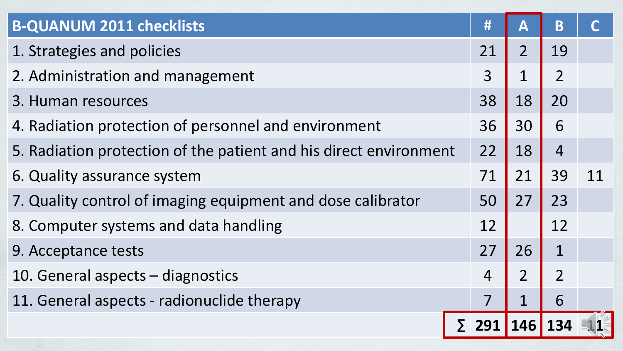| <b>B-QUANUM 2011 checklists</b>                                   |  | #              | A              | B              |    |
|-------------------------------------------------------------------|--|----------------|----------------|----------------|----|
| 1. Strategies and policies                                        |  | 21             | $\overline{2}$ | 19             |    |
| 2. Administration and management                                  |  | 3              |                | $\overline{2}$ |    |
| 3. Human resources                                                |  | 38             | 18             | 20             |    |
| 4. Radiation protection of personnel and environment              |  | 36             | 30             | 6              |    |
| 5. Radiation protection of the patient and his direct environment |  | 22             | 18             | $\overline{4}$ |    |
| 6. Quality assurance system                                       |  | 71             | 21             | 39             | 11 |
| 7. Quality control of imaging equipment and dose calibrator       |  | 50             | 27             | 23             |    |
| 8. Computer systems and data handling                             |  | 12             |                | 12             |    |
| 9. Acceptance tests                                               |  | 27             | 26             | $\mathbf{1}$   |    |
| 10. General aspects – diagnostics                                 |  | $\overline{4}$ | $\overline{2}$ | $\overline{2}$ |    |
| 11. General aspects - radionuclide therapy                        |  |                |                | 6              |    |
|                                                                   |  | 291            | <b>146</b>     |                |    |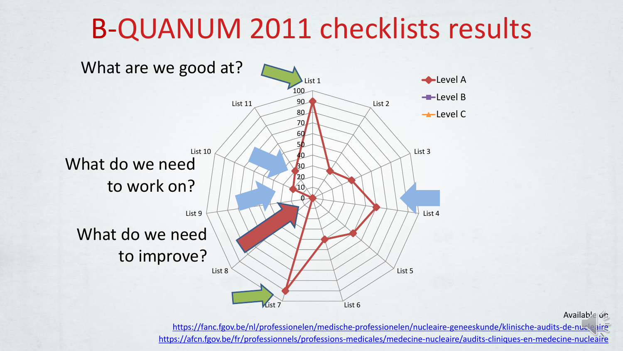### B-QUANUM 2011 checklists results



Available on

<https://fanc.fgov.be/nl/professionelen/medische-professionelen/nucleaire-geneeskunde/klinische-audits-de-nucleaire> <https://afcn.fgov.be/fr/professionnels/professions-medicales/medecine-nucleaire/audits-cliniques-en-medecine-nucleaire>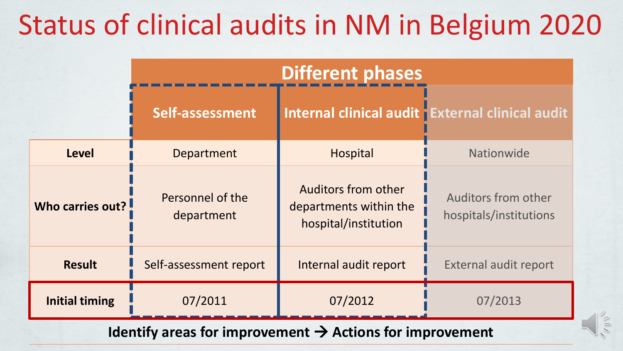## Status of clinical audits in NM in Belgium 2020

|                       | <b>Different phases</b>        |                                                                              |                                                 |  |  |  |
|-----------------------|--------------------------------|------------------------------------------------------------------------------|-------------------------------------------------|--|--|--|
|                       | Self-assessment                |                                                                              | Internal clinical audit External clinical audit |  |  |  |
| <b>Level</b>          | Department                     | <b>Hospital</b>                                                              | Nationwide                                      |  |  |  |
| Who carries out?      | Personnel of the<br>department | <b>Auditors from other</b><br>departments within the<br>hospital/institution | Auditors from other<br>hospitals/institutions   |  |  |  |
| <b>Result</b>         | Self-assessment report         | Internal audit report                                                        | <b>External audit report</b>                    |  |  |  |
| <b>Initial timing</b> | 07/2011                        | 07/2012                                                                      | 07/2013                                         |  |  |  |

**Identify areas for improvement** → **Actions for improvement**